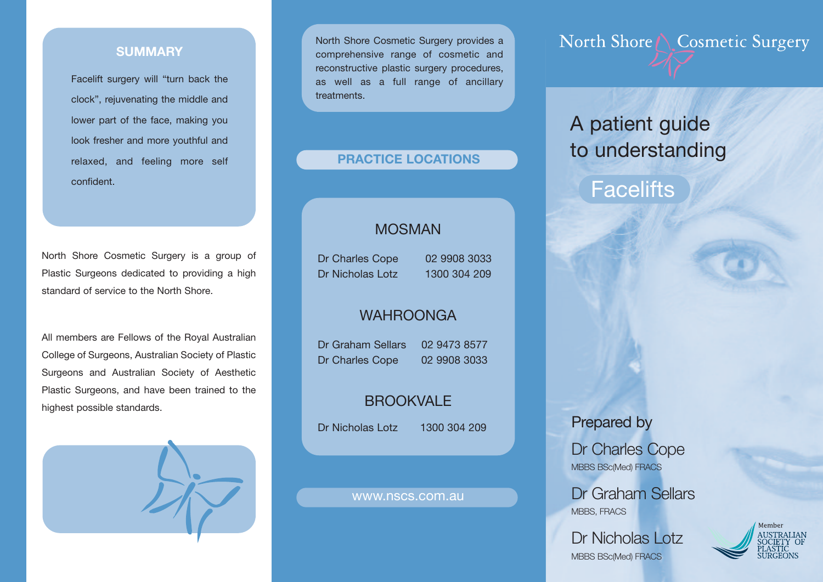### **SUMMARY**

Facelift surgery will "turn back the clock", rejuvenating the middle and lower part of the face, making you look fresher and more youthful and relaxed, and feeling more self confident.

North Shore Cosmetic Surgery is a group of Plastic Surgeons dedicated to providing a high standard of service to the North Shore.

All members are Fellows of the Royal Australian College of Surgeons, Australian Society of Plastic Surgeons and Australian Society of Aesthetic Plastic Surgeons, and have been trained to the highest possible standards.



North Shore Cosmetic Surgery provides a comprehensive range of cosmetic and reconstructive plastic surgery procedures, as well as a full range of ancillary **treatments** 

### **PRACTICE LOCATIONS**

### MOSMAN

Dr Charles Cope 02 9908 3033 Dr Nicholas Lotz 1300 304 209

### WAHROONGA

Dr Graham Sellars 02 9473 8577 Dr Charles Cope 02 9908 3033

## **BROOKVALE**

Dr Nicholas Lotz 1300 304 209

#### www.nscs.com.au

North Shore \ Cosmetic Surgery

# A patient guide to understanding

## **Facelifts**

Prepared by

Dr Charles Cope MBBS BSc(Med) FRACS

Dr Graham Sellars MBBS, FRACS

Dr Nicholas Lotz MBBS BSc(Med) FRACS